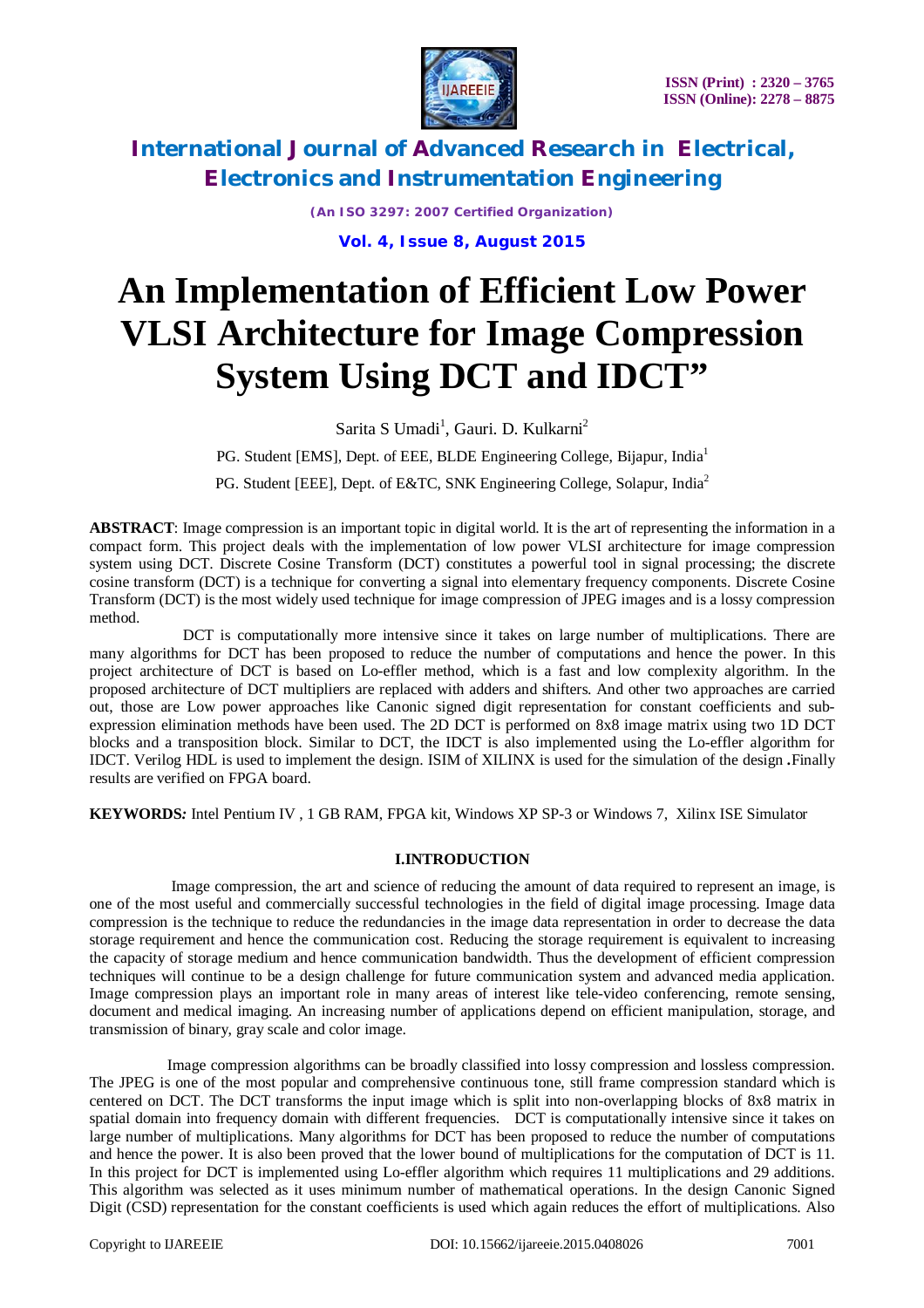

*(An ISO 3297: 2007 Certified Organization)*

**Vol. 4, Issue 8, August 2015**

# **An Implementation of Efficient Low Power VLSI Architecture for Image Compression System Using DCT and IDCT"**

Sarita S Umadi<sup>1</sup>, Gauri. D. Kulkarni<sup>2</sup>

PG. Student [EMS], Dept. of EEE, BLDE Engineering College, Bijapur, India<sup>1</sup>

PG. Student [EEE], Dept. of E&TC, SNK Engineering College, Solapur, India<sup>2</sup>

**ABSTRACT**: Image compression is an important topic in digital world. It is the art of representing the information in a compact form. This project deals with the implementation of low power VLSI architecture for image compression system using DCT. Discrete Cosine Transform (DCT) constitutes a powerful tool in signal processing; the discrete cosine transform (DCT) is a technique for converting a signal into elementary frequency components. Discrete Cosine Transform (DCT) is the most widely used technique for image compression of JPEG images and is a lossy compression method.

 DCT is computationally more intensive since it takes on large number of multiplications. There are many algorithms for DCT has been proposed to reduce the number of computations and hence the power. In this project architecture of DCT is based on Lo-effler method, which is a fast and low complexity algorithm. In the proposed architecture of DCT multipliers are replaced with adders and shifters. And other two approaches are carried out, those are Low power approaches like Canonic signed digit representation for constant coefficients and subexpression elimination methods have been used. The 2D DCT is performed on 8x8 image matrix using two 1D DCT blocks and a transposition block. Similar to DCT, the IDCT is also implemented using the Lo-effler algorithm for IDCT. Verilog HDL is used to implement the design. ISIM of XILINX is used for the simulation of the design *.*Finally results are verified on FPGA board.

**KEYWORDS***:* Intel Pentium IV , 1 GB RAM, FPGA kit, Windows XP SP-3 or Windows 7, Xilinx ISE Simulator

### **I.INTRODUCTION**

 Image compression, the art and science of reducing the amount of data required to represent an image, is one of the most useful and commercially successful technologies in the field of digital image processing. Image data compression is the technique to reduce the redundancies in the image data representation in order to decrease the data storage requirement and hence the communication cost. Reducing the storage requirement is equivalent to increasing the capacity of storage medium and hence communication bandwidth. Thus the development of efficient compression techniques will continue to be a design challenge for future communication system and advanced media application. Image compression plays an important role in many areas of interest like tele-video conferencing, remote sensing, document and medical imaging. An increasing number of applications depend on efficient manipulation, storage, and transmission of binary, gray scale and color image.

 Image compression algorithms can be broadly classified into lossy compression and lossless compression. The JPEG is one of the most popular and comprehensive continuous tone, still frame compression standard which is centered on DCT. The DCT transforms the input image which is split into non-overlapping blocks of 8x8 matrix in spatial domain into frequency domain with different frequencies. DCT is computationally intensive since it takes on large number of multiplications. Many algorithms for DCT has been proposed to reduce the number of computations and hence the power. It is also been proved that the lower bound of multiplications for the computation of DCT is 11. In this project for DCT is implemented using Lo-effler algorithm which requires 11 multiplications and 29 additions. This algorithm was selected as it uses minimum number of mathematical operations. In the design Canonic Signed Digit (CSD) representation for the constant coefficients is used which again reduces the effort of multiplications. Also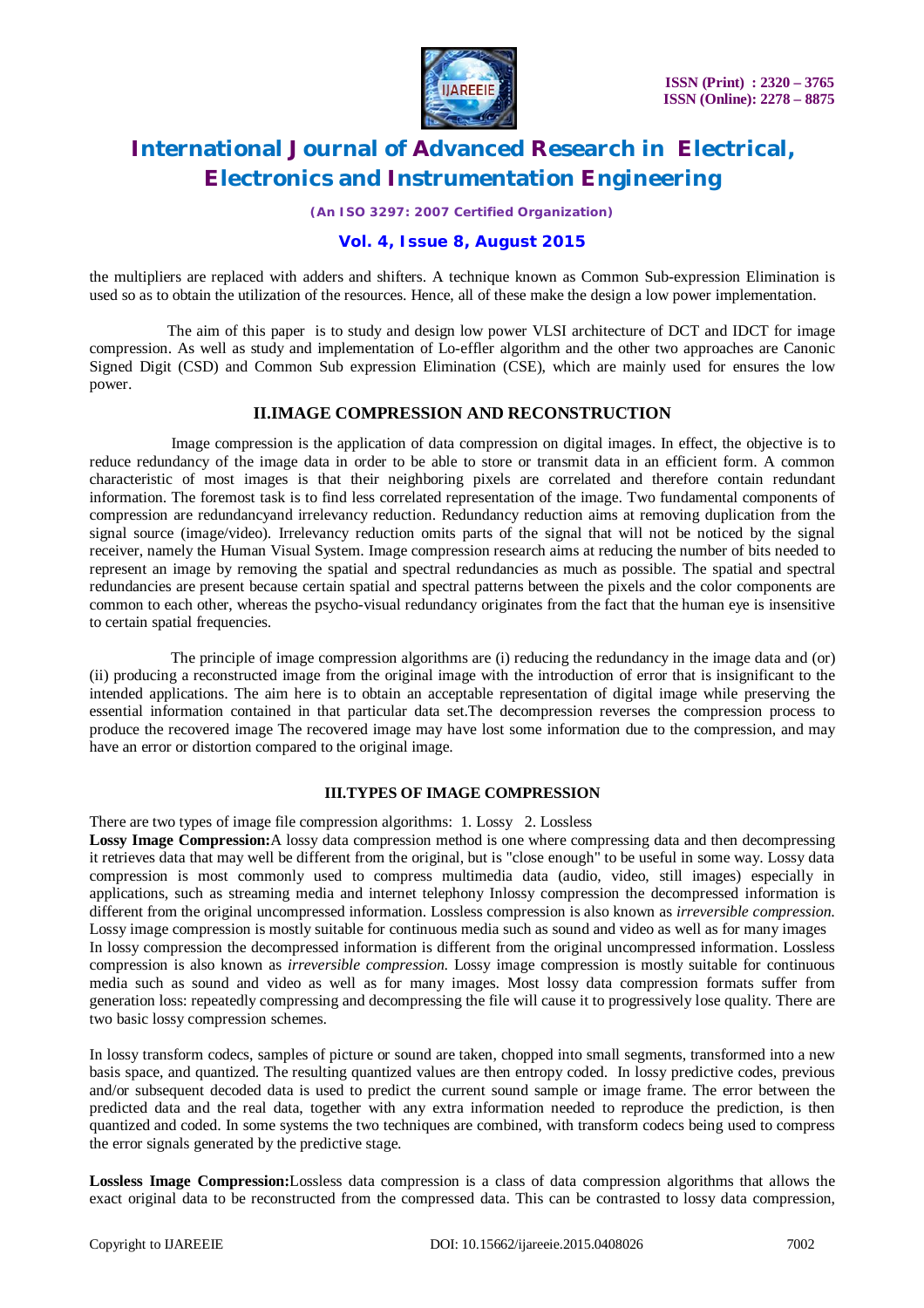

*(An ISO 3297: 2007 Certified Organization)*

### **Vol. 4, Issue 8, August 2015**

the multipliers are replaced with adders and shifters. A technique known as Common Sub-expression Elimination is used so as to obtain the utilization of the resources. Hence, all of these make the design a low power implementation.

 The aim of this paper is to study and design low power VLSI architecture of DCT and IDCT for image compression. As well as study and implementation of Lo-effler algorithm and the other two approaches are Canonic Signed Digit (CSD) and Common Sub expression Elimination (CSE), which are mainly used for ensures the low power.

### **II.IMAGE COMPRESSION AND RECONSTRUCTION**

 Image compression is the application of data compression on digital images. In effect, the objective is to reduce redundancy of the image data in order to be able to store or transmit data in an efficient form. A common characteristic of most images is that their neighboring pixels are correlated and therefore contain redundant information. The foremost task is to find less correlated representation of the image. Two fundamental components of compression are redundancyand irrelevancy reduction. Redundancy reduction aims at removing duplication from the signal source (image/video). Irrelevancy reduction omits parts of the signal that will not be noticed by the signal receiver, namely the Human Visual System. Image compression research aims at reducing the number of bits needed to represent an image by removing the spatial and spectral redundancies as much as possible. The spatial and spectral redundancies are present because certain spatial and spectral patterns between the pixels and the color components are common to each other, whereas the psycho-visual redundancy originates from the fact that the human eye is insensitive to certain spatial frequencies.

 The principle of image compression algorithms are (i) reducing the redundancy in the image data and (or) (ii) producing a reconstructed image from the original image with the introduction of error that is insignificant to the intended applications. The aim here is to obtain an acceptable representation of digital image while preserving the essential information contained in that particular data set.The decompression reverses the compression process to produce the recovered image The recovered image may have lost some information due to the compression, and may have an error or distortion compared to the original image.

### **III.TYPES OF IMAGE COMPRESSION**

There are two types of image file compression algorithms: 1. Lossy 2. Lossless

**Lossy Image Compression:**A lossy data compression method is one where compressing data and then decompressing it retrieves data that may well be different from the original, but is "close enough" to be useful in some way. Lossy data compression is most commonly used to compress multimedia data (audio, video, still images) especially in applications, such as streaming media and internet telephony Inlossy compression the decompressed information is different from the original uncompressed information. Lossless compression is also known as *irreversible compression*. Lossy image compression is mostly suitable for continuous media such as sound and video as well as for many images In lossy compression the decompressed information is different from the original uncompressed information. Lossless compression is also known as *irreversible compression*. Lossy image compression is mostly suitable for continuous media such as sound and video as well as for many images. Most lossy data compression formats suffer from generation loss: repeatedly compressing and decompressing the file will cause it to progressively lose quality. There are two basic lossy compression schemes.

In lossy transform codecs, samples of picture or sound are taken, chopped into small segments, transformed into a new basis space, and quantized. The resulting quantized values are then entropy coded. In lossy predictive codes, previous and/or subsequent decoded data is used to predict the current sound sample or image frame. The error between the predicted data and the real data, together with any extra information needed to reproduce the prediction, is then quantized and coded. In some systems the two techniques are combined, with transform codecs being used to compress the error signals generated by the predictive stage.

**Lossless Image Compression:**Lossless data compression is a class of data compression algorithms that allows the exact original data to be reconstructed from the compressed data. This can be contrasted to lossy data compression,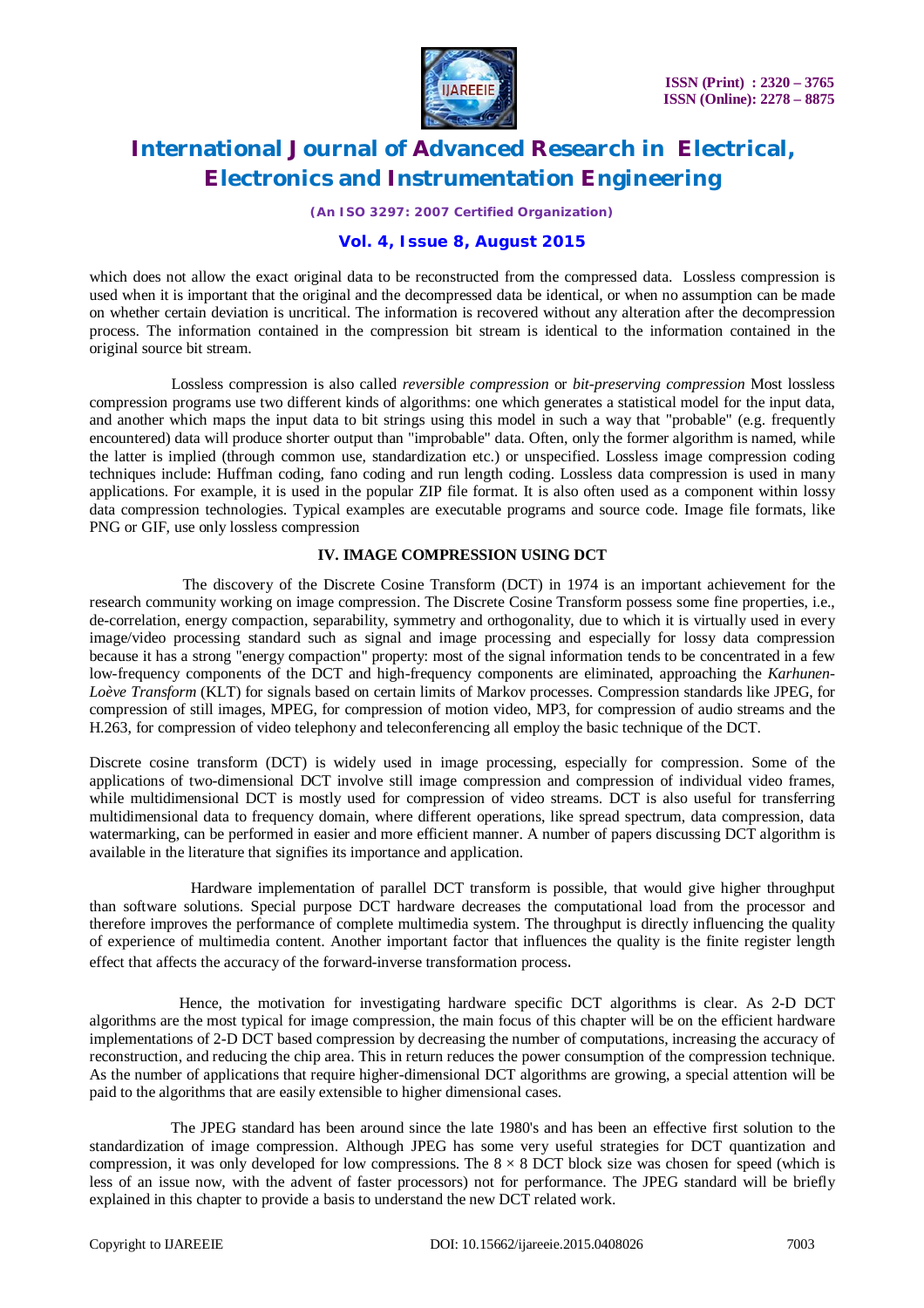

*(An ISO 3297: 2007 Certified Organization)*

### **Vol. 4, Issue 8, August 2015**

which does not allow the exact original data to be reconstructed from the compressed data. Lossless compression is used when it is important that the original and the decompressed data be identical, or when no assumption can be made on whether certain deviation is uncritical. The information is recovered without any alteration after the decompression process. The information contained in the compression bit stream is identical to the information contained in the original source bit stream.

 Lossless compression is also called *reversible compression* or *bit-preserving compression* Most lossless compression programs use two different kinds of algorithms: one which generates a statistical model for the input data, and another which maps the input data to bit strings using this model in such a way that "probable" (e.g. frequently encountered) data will produce shorter output than "improbable" data. Often, only the former algorithm is named, while the latter is implied (through common use, standardization etc.) or unspecified. Lossless image compression coding techniques include: Huffman coding, fano coding and run length coding. Lossless data compression is used in many applications. For example, it is used in the popular ZIP file format. It is also often used as a component within lossy data compression technologies. Typical examples are executable programs and source code. Image file formats, like PNG or GIF, use only lossless compression

### **IV. IMAGE COMPRESSION USING DCT**

 The discovery of the Discrete Cosine Transform (DCT) in 1974 is an important achievement for the research community working on image compression. The Discrete Cosine Transform possess some fine properties, i.e., de-correlation, energy compaction, separability, symmetry and orthogonality, due to which it is virtually used in every image/video processing standard such as signal and image processing and especially for lossy data compression because it has a strong "energy compaction" property: most of the signal information tends to be concentrated in a few low-frequency components of the DCT and high-frequency components are eliminated, approaching the *Karhunen-Loève Transform* (KLT) for signals based on certain limits of Markov processes. Compression standards like JPEG, for compression of still images, MPEG, for compression of motion video, MP3, for compression of audio streams and the H.263, for compression of video telephony and teleconferencing all employ the basic technique of the DCT.

Discrete cosine transform (DCT) is widely used in image processing, especially for compression. Some of the applications of two-dimensional DCT involve still image compression and compression of individual video frames, while multidimensional DCT is mostly used for compression of video streams. DCT is also useful for transferring multidimensional data to frequency domain, where different operations, like spread spectrum, data compression, data watermarking, can be performed in easier and more efficient manner. A number of papers discussing DCT algorithm is available in the literature that signifies its importance and application.

 Hardware implementation of parallel DCT transform is possible, that would give higher throughput than software solutions. Special purpose DCT hardware decreases the computational load from the processor and therefore improves the performance of complete multimedia system. The throughput is directly influencing the quality of experience of multimedia content. Another important factor that influences the quality is the finite register length effect that affects the accuracy of the forward-inverse transformation process.

 Hence, the motivation for investigating hardware specific DCT algorithms is clear. As 2-D DCT algorithms are the most typical for image compression, the main focus of this chapter will be on the efficient hardware implementations of 2-D DCT based compression by decreasing the number of computations, increasing the accuracy of reconstruction, and reducing the chip area. This in return reduces the power consumption of the compression technique. As the number of applications that require higher-dimensional DCT algorithms are growing, a special attention will be paid to the algorithms that are easily extensible to higher dimensional cases.

 The JPEG standard has been around since the late 1980's and has been an effective first solution to the standardization of image compression. Although JPEG has some very useful strategies for DCT quantization and compression, it was only developed for low compressions. The  $8 \times 8$  DCT block size was chosen for speed (which is less of an issue now, with the advent of faster processors) not for performance. The JPEG standard will be briefly explained in this chapter to provide a basis to understand the new DCT related work.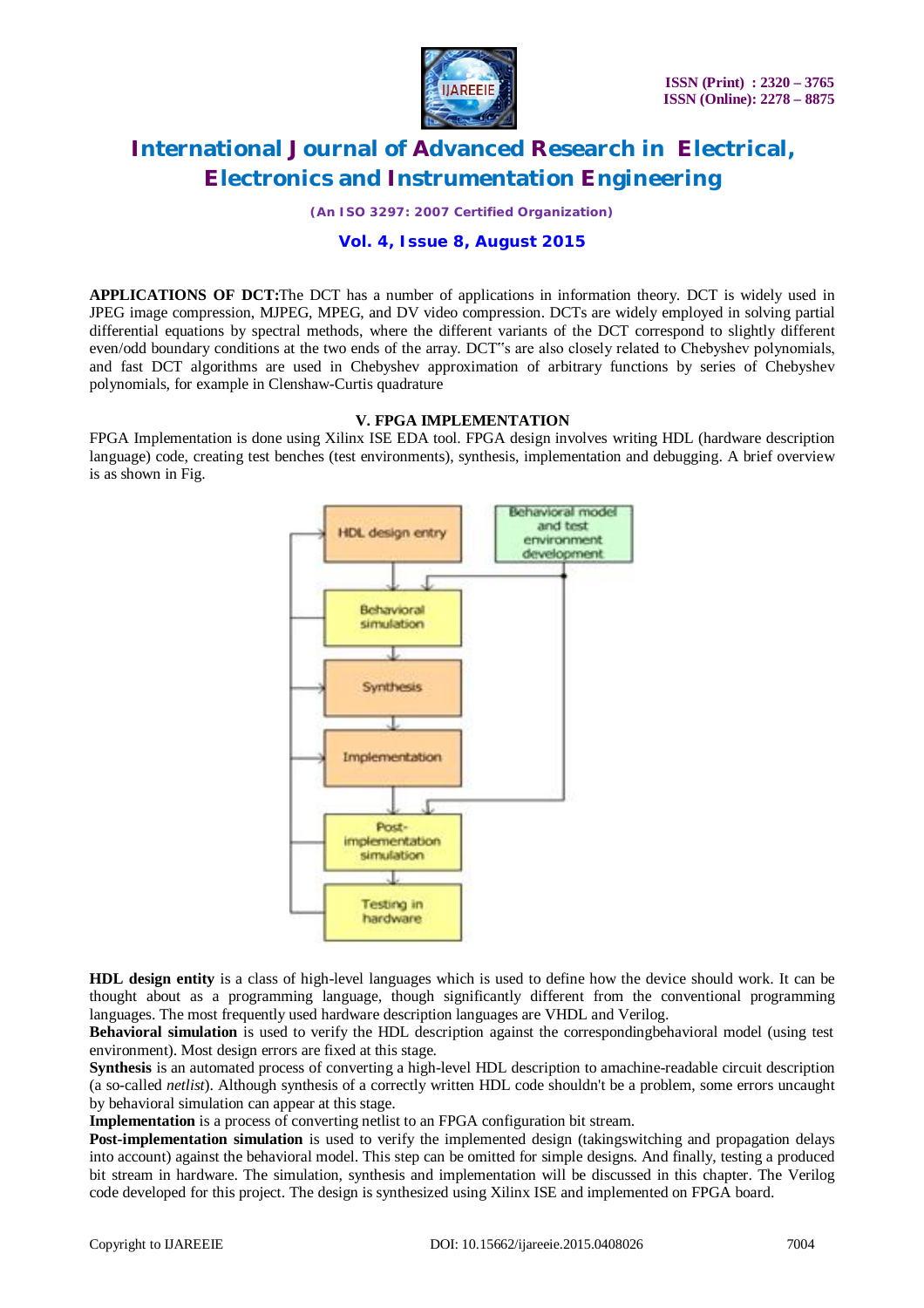

*(An ISO 3297: 2007 Certified Organization)*

### **Vol. 4, Issue 8, August 2015**

**APPLICATIONS OF DCT:**The DCT has a number of applications in information theory. DCT is widely used in JPEG image compression, MJPEG, MPEG, and DV video compression. DCTs are widely employed in solving partial differential equations by spectral methods, where the different variants of the DCT correspond to slightly different even/odd boundary conditions at the two ends of the array. DCT"s are also closely related to Chebyshev polynomials, and fast DCT algorithms are used in Chebyshev approximation of arbitrary functions by series of Chebyshev polynomials, for example in Clenshaw-Curtis quadrature

### **V. FPGA IMPLEMENTATION**

FPGA Implementation is done using Xilinx ISE EDA tool. FPGA design involves writing HDL (hardware description language) code, creating test benches (test environments), synthesis, implementation and debugging. A brief overview is as shown in Fig.



**HDL design entity** is a class of high-level languages which is used to define how the device should work. It can be thought about as a programming language, though significantly different from the conventional programming languages. The most frequently used hardware description languages are VHDL and Verilog.

**Behavioral simulation** is used to verify the HDL description against the correspondingbehavioral model (using test environment). Most design errors are fixed at this stage.

**Synthesis** is an automated process of converting a high-level HDL description to amachine-readable circuit description (a so-called *netlist*). Although synthesis of a correctly written HDL code shouldn't be a problem, some errors uncaught by behavioral simulation can appear at this stage.

**Implementation** is a process of converting netlist to an FPGA configuration bit stream.

**Post-implementation simulation** is used to verify the implemented design (takingswitching and propagation delays into account) against the behavioral model. This step can be omitted for simple designs. And finally, testing a produced bit stream in hardware. The simulation, synthesis and implementation will be discussed in this chapter. The Verilog code developed for this project. The design is synthesized using Xilinx ISE and implemented on FPGA board.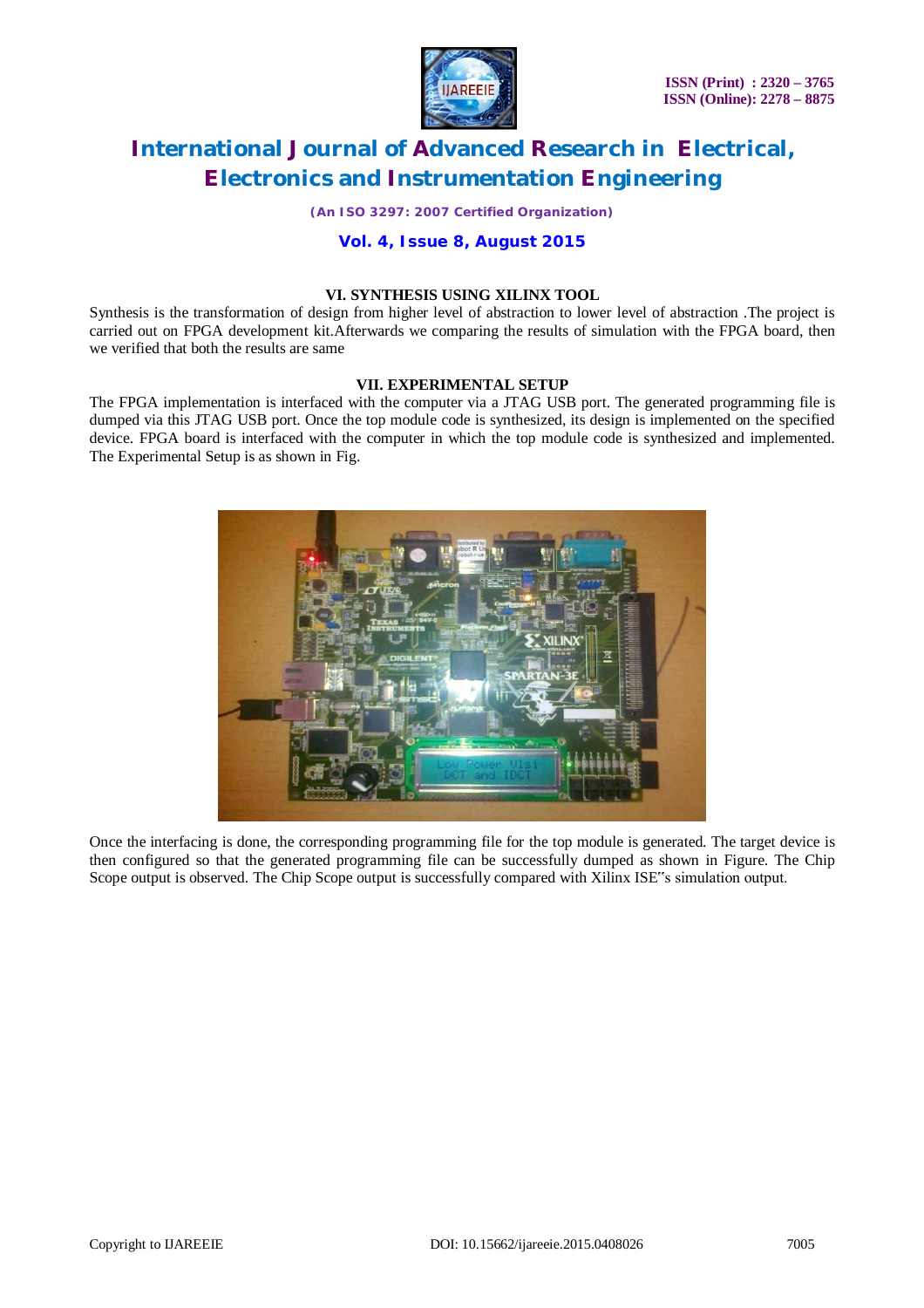

*(An ISO 3297: 2007 Certified Organization)*

### **Vol. 4, Issue 8, August 2015**

### **VI. SYNTHESIS USING XILINX TOOL**

Synthesis is the transformation of design from higher level of abstraction to lower level of abstraction .The project is carried out on FPGA development kit.Afterwards we comparing the results of simulation with the FPGA board, then we verified that both the results are same

### **VII. EXPERIMENTAL SETUP**

The FPGA implementation is interfaced with the computer via a JTAG USB port. The generated programming file is dumped via this JTAG USB port. Once the top module code is synthesized, its design is implemented on the specified device. FPGA board is interfaced with the computer in which the top module code is synthesized and implemented. The Experimental Setup is as shown in Fig.



Once the interfacing is done, the corresponding programming file for the top module is generated. The target device is then configured so that the generated programming file can be successfully dumped as shown in Figure. The Chip Scope output is observed. The Chip Scope output is successfully compared with Xilinx ISE"s simulation output.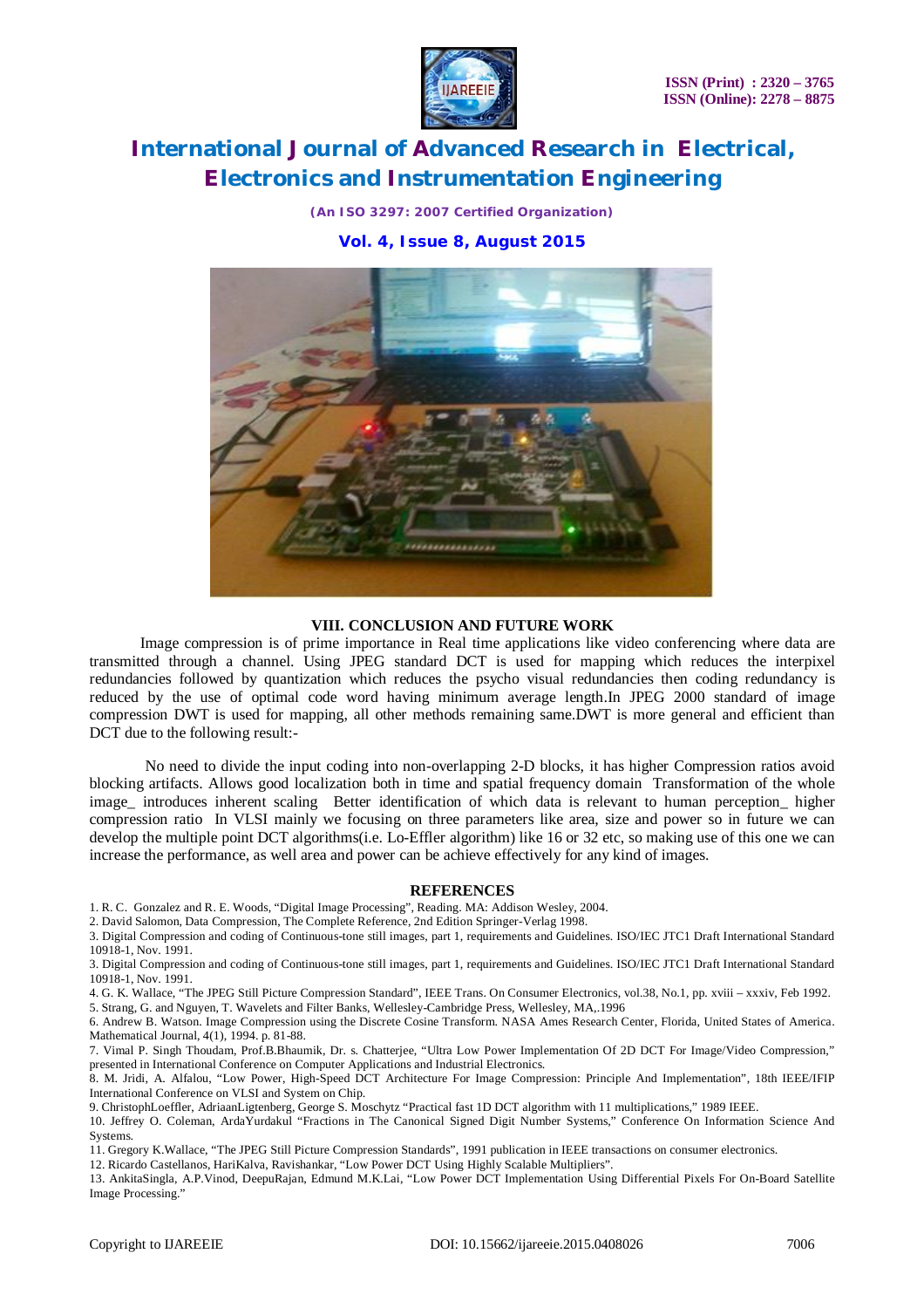

*(An ISO 3297: 2007 Certified Organization)*

### **Vol. 4, Issue 8, August 2015**



### **VIII. CONCLUSION AND FUTURE WORK**

 Image compression is of prime importance in Real time applications like video conferencing where data are transmitted through a channel. Using JPEG standard DCT is used for mapping which reduces the interpixel redundancies followed by quantization which reduces the psycho visual redundancies then coding redundancy is reduced by the use of optimal code word having minimum average length.In JPEG 2000 standard of image compression DWT is used for mapping, all other methods remaining same.DWT is more general and efficient than DCT due to the following result:-

No need to divide the input coding into non-overlapping 2-D blocks, it has higher Compression ratios avoid blocking artifacts. Allows good localization both in time and spatial frequency domain Transformation of the whole image introduces inherent scaling Better identification of which data is relevant to human perception higher compression ratio In VLSI mainly we focusing on three parameters like area, size and power so in future we can develop the multiple point DCT algorithms(i.e. Lo-Effler algorithm) like 16 or 32 etc, so making use of this one we can increase the performance, as well area and power can be achieve effectively for any kind of images.

#### **REFERENCES**

1. R. C. Gonzalez and R. E. Woods, "Digital Image Processing", Reading. MA: Addison Wesley, 2004.

2. David Salomon, Data Compression, The Complete Reference, 2nd Edition Springer-Verlag 1998.

3. Digital Compression and coding of Continuous-tone still images, part 1, requirements and Guidelines. ISO/IEC JTC1 Draft International Standard 10918-1, Nov. 1991.

3. Digital Compression and coding of Continuous-tone still images, part 1, requirements and Guidelines. ISO/IEC JTC1 Draft International Standard 10918-1, Nov. 1991.

4. G. K. Wallace, "The JPEG Still Picture Compression Standard", IEEE Trans. On Consumer Electronics, vol.38, No.1, pp. xviii – xxxiv, Feb 1992.

5. Strang, G. and Nguyen, T. Wavelets and Filter Banks, Wellesley-Cambridge Press, Wellesley, MA,.1996

6. Andrew B. Watson. Image Compression using the Discrete Cosine Transform. NASA Ames Research Center, Florida, United States of America. Mathematical Journal, 4(1), 1994. p. 81-88.

7. Vimal P. Singh Thoudam, Prof.B.Bhaumik, Dr. s. Chatterjee, "Ultra Low Power Implementation Of 2D DCT For Image/Video Compression," presented in International Conference on Computer Applications and Industrial Electronics.

8. M. Jridi, A. Alfalou, "Low Power, High-Speed DCT Architecture For Image Compression: Principle And Implementation", 18th IEEE/IFIP International Conference on VLSI and System on Chip.

9. ChristophLoeffler, AdriaanLigtenberg, George S. Moschytz "Practical fast 1D DCT algorithm with 11 multiplications," 1989 IEEE.

10. Jeffrey O. Coleman, ArdaYurdakul "Fractions in The Canonical Signed Digit Number Systems," Conference On Information Science And Systems.

11. Gregory K.Wallace, "The JPEG Still Picture Compression Standards", 1991 publication in IEEE transactions on consumer electronics.

12. Ricardo Castellanos, HariKalva, Ravishankar, "Low Power DCT Using Highly Scalable Multipliers".

13. AnkitaSingla, A.P.Vinod, DeepuRajan, Edmund M.K.Lai, "Low Power DCT Implementation Using Differential Pixels For On-Board Satellite Image Processing."